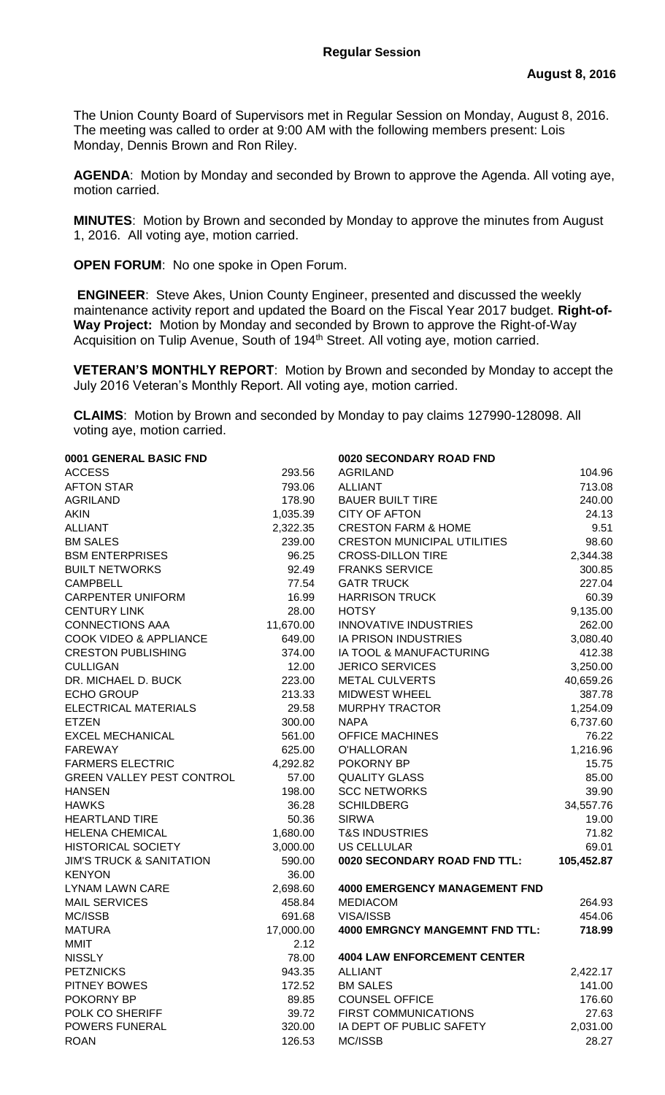The Union County Board of Supervisors met in Regular Session on Monday, August 8, 2016. The meeting was called to order at 9:00 AM with the following members present: Lois Monday, Dennis Brown and Ron Riley.

**AGENDA**: Motion by Monday and seconded by Brown to approve the Agenda. All voting aye, motion carried.

**MINUTES**: Motion by Brown and seconded by Monday to approve the minutes from August 1, 2016. All voting aye, motion carried.

**OPEN FORUM**: No one spoke in Open Forum.

**ENGINEER**: Steve Akes, Union County Engineer, presented and discussed the weekly maintenance activity report and updated the Board on the Fiscal Year 2017 budget. **Right-of-Way Project:** Motion by Monday and seconded by Brown to approve the Right-of-Way Acquisition on Tulip Avenue, South of 194<sup>th</sup> Street. All voting aye, motion carried.

**VETERAN'S MONTHLY REPORT**: Motion by Brown and seconded by Monday to accept the July 2016 Veteran's Monthly Report. All voting aye, motion carried.

**CLAIMS**: Motion by Brown and seconded by Monday to pay claims 127990-128098. All voting aye, motion carried.

| 0001 GENERAL BASIC FND              |           | 0020 SECONDARY ROAD FND               |            |
|-------------------------------------|-----------|---------------------------------------|------------|
| <b>ACCESS</b>                       | 293.56    | <b>AGRILAND</b>                       | 104.96     |
| <b>AFTON STAR</b>                   | 793.06    | <b>ALLIANT</b>                        | 713.08     |
| <b>AGRILAND</b>                     | 178.90    | <b>BAUER BUILT TIRE</b>               | 240.00     |
| <b>AKIN</b>                         | 1,035.39  | <b>CITY OF AFTON</b>                  | 24.13      |
| <b>ALLIANT</b>                      | 2,322.35  | <b>CRESTON FARM &amp; HOME</b>        | 9.51       |
| <b>BM SALES</b>                     | 239.00    | <b>CRESTON MUNICIPAL UTILITIES</b>    | 98.60      |
| <b>BSM ENTERPRISES</b>              | 96.25     | <b>CROSS-DILLON TIRE</b>              | 2,344.38   |
| <b>BUILT NETWORKS</b>               | 92.49     | <b>FRANKS SERVICE</b>                 | 300.85     |
| <b>CAMPBELL</b>                     | 77.54     | <b>GATR TRUCK</b>                     | 227.04     |
| <b>CARPENTER UNIFORM</b>            | 16.99     | <b>HARRISON TRUCK</b>                 | 60.39      |
| <b>CENTURY LINK</b>                 | 28.00     | <b>HOTSY</b>                          | 9,135.00   |
| <b>CONNECTIONS AAA</b>              | 11,670.00 | <b>INNOVATIVE INDUSTRIES</b>          | 262.00     |
| <b>COOK VIDEO &amp; APPLIANCE</b>   | 649.00    | IA PRISON INDUSTRIES                  | 3,080.40   |
| <b>CRESTON PUBLISHING</b>           | 374.00    | IA TOOL & MANUFACTURING               | 412.38     |
| <b>CULLIGAN</b>                     | 12.00     | <b>JERICO SERVICES</b>                | 3,250.00   |
| DR. MICHAEL D. BUCK                 | 223.00    | <b>METAL CULVERTS</b>                 | 40,659.26  |
| <b>ECHO GROUP</b>                   | 213.33    | <b>MIDWEST WHEEL</b>                  | 387.78     |
| ELECTRICAL MATERIALS                | 29.58     | <b>MURPHY TRACTOR</b>                 | 1,254.09   |
| <b>ETZEN</b>                        | 300.00    | <b>NAPA</b>                           | 6,737.60   |
| <b>EXCEL MECHANICAL</b>             | 561.00    | <b>OFFICE MACHINES</b>                | 76.22      |
| <b>FAREWAY</b>                      | 625.00    | O'HALLORAN                            | 1,216.96   |
| <b>FARMERS ELECTRIC</b>             | 4,292.82  | POKORNY BP                            | 15.75      |
| <b>GREEN VALLEY PEST CONTROL</b>    | 57.00     | <b>QUALITY GLASS</b>                  | 85.00      |
| <b>HANSEN</b>                       | 198.00    | <b>SCC NETWORKS</b>                   | 39.90      |
| <b>HAWKS</b>                        | 36.28     | <b>SCHILDBERG</b>                     | 34,557.76  |
| <b>HEARTLAND TIRE</b>               | 50.36     | <b>SIRWA</b>                          | 19.00      |
| <b>HELENA CHEMICAL</b>              | 1,680.00  | <b>T&amp;S INDUSTRIES</b>             | 71.82      |
| <b>HISTORICAL SOCIETY</b>           | 3,000.00  | <b>US CELLULAR</b>                    | 69.01      |
| <b>JIM'S TRUCK &amp; SANITATION</b> | 590.00    | 0020 SECONDARY ROAD FND TTL:          | 105,452.87 |
| <b>KENYON</b>                       | 36.00     |                                       |            |
| <b>LYNAM LAWN CARE</b>              | 2,698.60  | <b>4000 EMERGENCY MANAGEMENT FND</b>  |            |
| <b>MAIL SERVICES</b>                | 458.84    | <b>MEDIACOM</b>                       | 264.93     |
| MC/ISSB                             | 691.68    | <b>VISA/ISSB</b>                      | 454.06     |
| <b>MATURA</b>                       | 17,000.00 | <b>4000 EMRGNCY MANGEMNT FND TTL:</b> | 718.99     |
| <b>MMIT</b>                         | 2.12      |                                       |            |
| <b>NISSLY</b>                       | 78.00     | <b>4004 LAW ENFORCEMENT CENTER</b>    |            |
| <b>PETZNICKS</b>                    | 943.35    | <b>ALLIANT</b>                        | 2,422.17   |
| PITNEY BOWES                        | 172.52    | <b>BM SALES</b>                       | 141.00     |
| POKORNY BP                          | 89.85     | <b>COUNSEL OFFICE</b>                 | 176.60     |
| POLK CO SHERIFF                     | 39.72     | FIRST COMMUNICATIONS                  | 27.63      |
| POWERS FUNERAL                      | 320.00    | IA DEPT OF PUBLIC SAFETY              | 2,031.00   |
| <b>ROAN</b>                         | 126.53    | MC/ISSB                               | 28.27      |